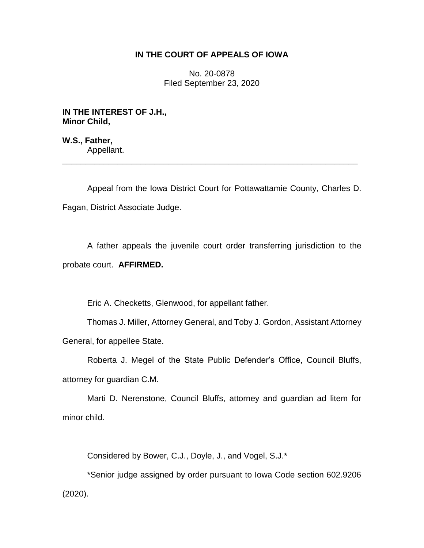## **IN THE COURT OF APPEALS OF IOWA**

No. 20-0878 Filed September 23, 2020

**IN THE INTEREST OF J.H., Minor Child,**

**W.S., Father,** Appellant.

Appeal from the Iowa District Court for Pottawattamie County, Charles D. Fagan, District Associate Judge.

\_\_\_\_\_\_\_\_\_\_\_\_\_\_\_\_\_\_\_\_\_\_\_\_\_\_\_\_\_\_\_\_\_\_\_\_\_\_\_\_\_\_\_\_\_\_\_\_\_\_\_\_\_\_\_\_\_\_\_\_\_\_\_\_

A father appeals the juvenile court order transferring jurisdiction to the probate court. **AFFIRMED.**

Eric A. Checketts, Glenwood, for appellant father.

Thomas J. Miller, Attorney General, and Toby J. Gordon, Assistant Attorney General, for appellee State.

Roberta J. Megel of the State Public Defender's Office, Council Bluffs, attorney for guardian C.M.

Marti D. Nerenstone, Council Bluffs, attorney and guardian ad litem for minor child.

Considered by Bower, C.J., Doyle, J., and Vogel, S.J.\*

\*Senior judge assigned by order pursuant to Iowa Code section 602.9206 (2020).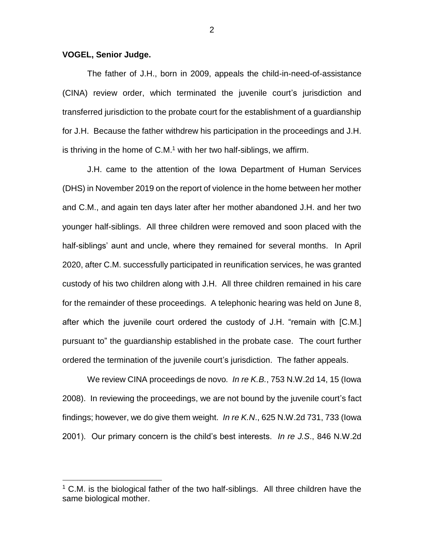## **VOGEL, Senior Judge.**

 $\overline{a}$ 

The father of J.H., born in 2009, appeals the child-in-need-of-assistance (CINA) review order, which terminated the juvenile court's jurisdiction and transferred jurisdiction to the probate court for the establishment of a guardianship for J.H. Because the father withdrew his participation in the proceedings and J.H. is thriving in the home of  $C.M.<sup>1</sup>$  with her two half-siblings, we affirm.

J.H. came to the attention of the Iowa Department of Human Services (DHS) in November 2019 on the report of violence in the home between her mother and C.M., and again ten days later after her mother abandoned J.H. and her two younger half-siblings. All three children were removed and soon placed with the half-siblings' aunt and uncle, where they remained for several months. In April 2020, after C.M. successfully participated in reunification services, he was granted custody of his two children along with J.H. All three children remained in his care for the remainder of these proceedings. A telephonic hearing was held on June 8, after which the juvenile court ordered the custody of J.H. "remain with [C.M.] pursuant to" the guardianship established in the probate case. The court further ordered the termination of the juvenile court's jurisdiction. The father appeals.

We review CINA proceedings de novo*. In re K.B.*, 753 N.W.2d 14, 15 (Iowa 2008). In reviewing the proceedings, we are not bound by the juvenile court's fact findings; however, we do give them weight. *In re K.N*., 625 N.W.2d 731, 733 (Iowa 2001). Our primary concern is the child's best interests. *In re J.S*., 846 N.W.2d

 $1$  C.M. is the biological father of the two half-siblings. All three children have the same biological mother.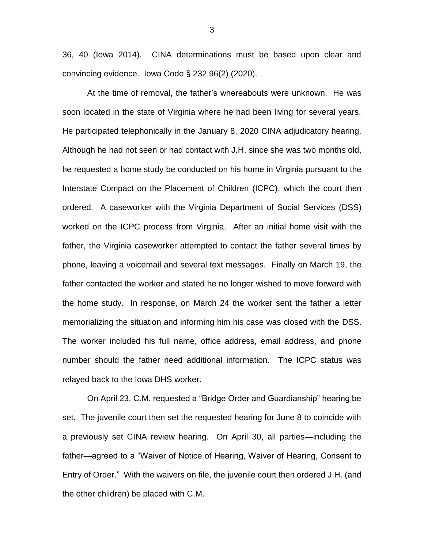36, 40 (Iowa 2014). CINA determinations must be based upon clear and convincing evidence. Iowa Code § 232.96(2) (2020).

At the time of removal, the father's whereabouts were unknown. He was soon located in the state of Virginia where he had been living for several years. He participated telephonically in the January 8, 2020 CINA adjudicatory hearing. Although he had not seen or had contact with J.H. since she was two months old, he requested a home study be conducted on his home in Virginia pursuant to the Interstate Compact on the Placement of Children (ICPC), which the court then ordered. A caseworker with the Virginia Department of Social Services (DSS) worked on the ICPC process from Virginia. After an initial home visit with the father, the Virginia caseworker attempted to contact the father several times by phone, leaving a voicemail and several text messages. Finally on March 19, the father contacted the worker and stated he no longer wished to move forward with the home study. In response, on March 24 the worker sent the father a letter memorializing the situation and informing him his case was closed with the DSS. The worker included his full name, office address, email address, and phone number should the father need additional information. The ICPC status was relayed back to the Iowa DHS worker.

On April 23, C.M. requested a "Bridge Order and Guardianship" hearing be set. The juvenile court then set the requested hearing for June 8 to coincide with a previously set CINA review hearing. On April 30, all parties—including the father—agreed to a "Waiver of Notice of Hearing, Waiver of Hearing, Consent to Entry of Order." With the waivers on file, the juvenile court then ordered J.H. (and the other children) be placed with C.M.

3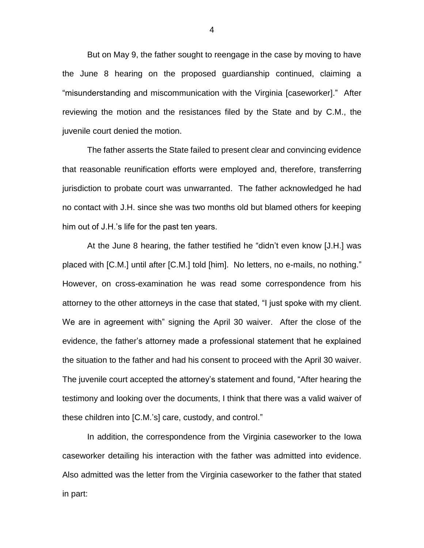But on May 9, the father sought to reengage in the case by moving to have the June 8 hearing on the proposed guardianship continued, claiming a "misunderstanding and miscommunication with the Virginia [caseworker]." After reviewing the motion and the resistances filed by the State and by C.M., the juvenile court denied the motion.

The father asserts the State failed to present clear and convincing evidence that reasonable reunification efforts were employed and, therefore, transferring jurisdiction to probate court was unwarranted. The father acknowledged he had no contact with J.H. since she was two months old but blamed others for keeping him out of J.H.'s life for the past ten years.

At the June 8 hearing, the father testified he "didn't even know [J.H.] was placed with [C.M.] until after [C.M.] told [him]. No letters, no e-mails, no nothing." However, on cross-examination he was read some correspondence from his attorney to the other attorneys in the case that stated, "I just spoke with my client. We are in agreement with" signing the April 30 waiver. After the close of the evidence, the father's attorney made a professional statement that he explained the situation to the father and had his consent to proceed with the April 30 waiver. The juvenile court accepted the attorney's statement and found, "After hearing the testimony and looking over the documents, I think that there was a valid waiver of these children into [C.M.'s] care, custody, and control."

In addition, the correspondence from the Virginia caseworker to the Iowa caseworker detailing his interaction with the father was admitted into evidence. Also admitted was the letter from the Virginia caseworker to the father that stated in part: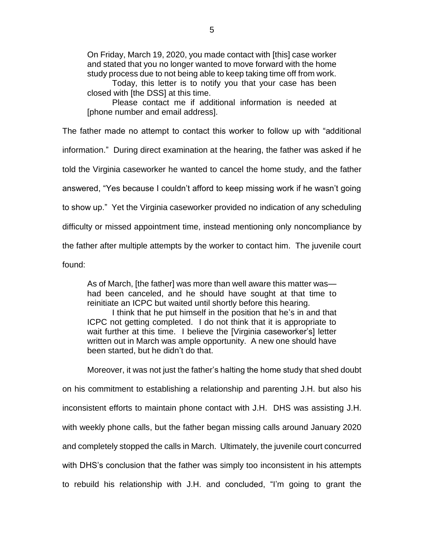On Friday, March 19, 2020, you made contact with [this] case worker and stated that you no longer wanted to move forward with the home study process due to not being able to keep taking time off from work.

Today, this letter is to notify you that your case has been closed with [the DSS] at this time.

Please contact me if additional information is needed at [phone number and email address].

The father made no attempt to contact this worker to follow up with "additional information." During direct examination at the hearing, the father was asked if he told the Virginia caseworker he wanted to cancel the home study, and the father answered, "Yes because I couldn't afford to keep missing work if he wasn't going to show up." Yet the Virginia caseworker provided no indication of any scheduling difficulty or missed appointment time, instead mentioning only noncompliance by the father after multiple attempts by the worker to contact him. The juvenile court found:

As of March, [the father] was more than well aware this matter was had been canceled, and he should have sought at that time to reinitiate an ICPC but waited until shortly before this hearing.

I think that he put himself in the position that he's in and that ICPC not getting completed. I do not think that it is appropriate to wait further at this time. I believe the [Virginia caseworker's] letter written out in March was ample opportunity. A new one should have been started, but he didn't do that.

Moreover, it was not just the father's halting the home study that shed doubt on his commitment to establishing a relationship and parenting J.H. but also his inconsistent efforts to maintain phone contact with J.H. DHS was assisting J.H. with weekly phone calls, but the father began missing calls around January 2020 and completely stopped the calls in March. Ultimately, the juvenile court concurred with DHS's conclusion that the father was simply too inconsistent in his attempts to rebuild his relationship with J.H. and concluded, "I'm going to grant the